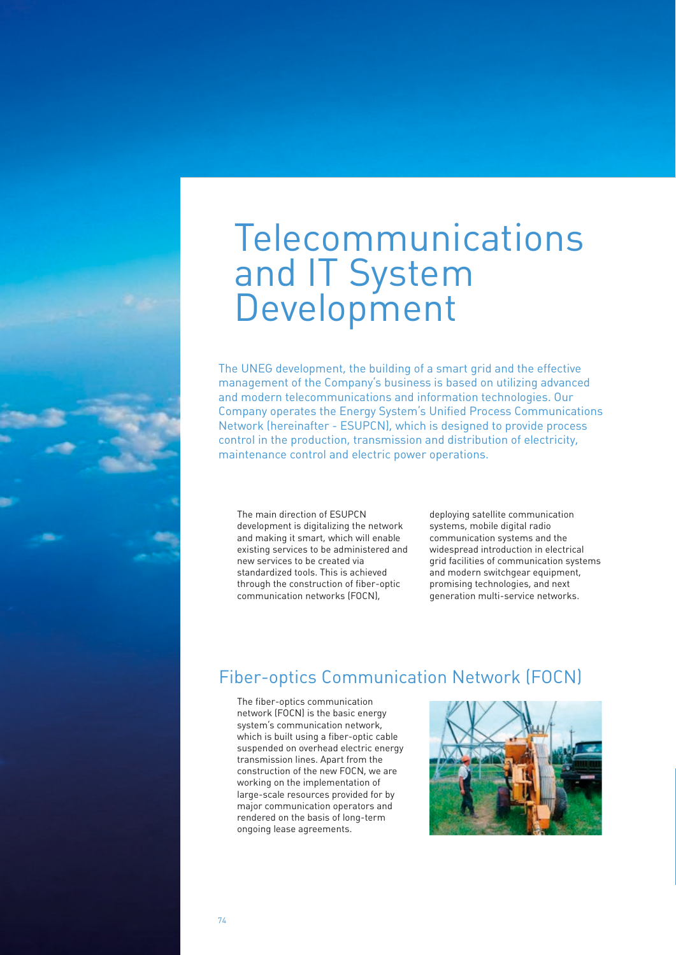# Telecommunications and IT System Development

The UNEG development, the building of a smart grid and the effective management of the Company's business is based on utilizing advanced and modern telecommunications and information technologies. Our Company operates the Energy System's Unified Process Communications Network (hereinafter - ESUPCN), which is designed to provide process control in the production, transmission and distribution of electricity, maintenance control and electric power operations.

The main direction of ESUPCN development is digitalizing the network and making it smart, which will enable existing services to be administered and new services to be created via standardized tools. This is achieved through the construction of fiber-optic communication networks (FOCN),

deploying satellite communication systems, mobile digital radio communication systems and the widespread introduction in electrical grid facilities of communication systems and modern switchgear equipment, promising technologies, and next generation multi-service networks.

# Fiber-optics Communication Network (FOCN)

The fiber-optics communication network (FOCN) is the basic energy system's communication network, which is built using a fiber-optic cable suspended on overhead electric energy transmission lines. Apart from the construction of the new FOCN, we are working on the implementation of large-scale resources provided for by major communication operators and rendered on the basis of long-term ongoing lease agreements.

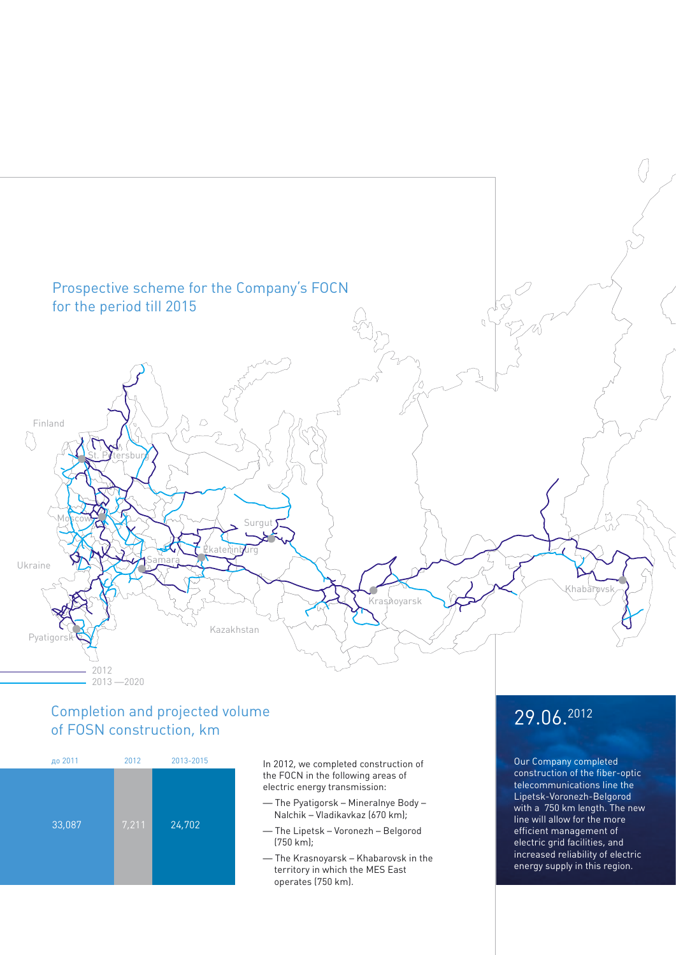

### Completion and projected volume of FOSN construction, km



In 2012, we completed construction of the FOCN in the following areas of electric energy transmission:

- The Pyatigorsk Mineralnye Body Nalchik – Vladikavkaz (670 km);
- The Lipetsk Voronezh Belgorod (750 km);
- The Krasnoyarsk Khabarovsk in the territory in which the MES East operates (750 km).

# 29.06.2012

Our Company completed construction of the fiber-optic telecommunications line the Lipetsk-Voronezh-Belgorod with a 750 km length. The new line will allow for the more efficient management of electric grid facilities, and increased reliability of electric energy supply in this region.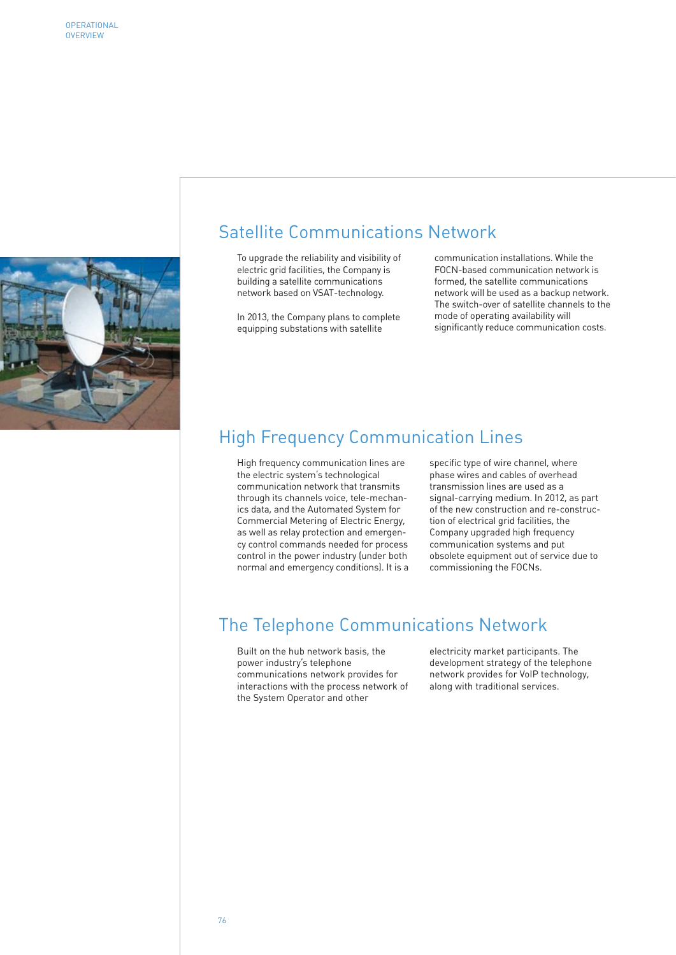

### Satellite Communications Network

To upgrade the reliability and visibility of electric grid facilities, the Company is building a satellite communications network based on VSAT-technology.

In 2013, the Company plans to complete equipping substations with satellite

communication installations. While the FOCN-based communication network is formed, the satellite communications network will be used as a backup network. The switch-over of satellite channels to the mode of operating availability will significantly reduce communication costs.

# High Frequency Communication Lines

High frequency communication lines are the electric system's technological communication network that transmits through its channels voice, tele-mechanics data, and the Automated System for Commercial Metering of Electric Energy, as well as relay protection and emergency control commands needed for process control in the power industry (under both normal and emergency conditions). It is a

specific type of wire channel, where phase wires and cables of overhead transmission lines are used as a signal-carrying medium. In 2012, as part of the new construction and re-construction of electrical grid facilities, the Company upgraded high frequency communication systems and put obsolete equipment out of service due to commissioning the FOCNs.

# The Telephone Communications Network

Built on the hub network basis, the power industry's telephone communications network provides for interactions with the process network of the System Operator and other

electricity market participants. The development strategy of the telephone network provides for VoIP technology, along with traditional services.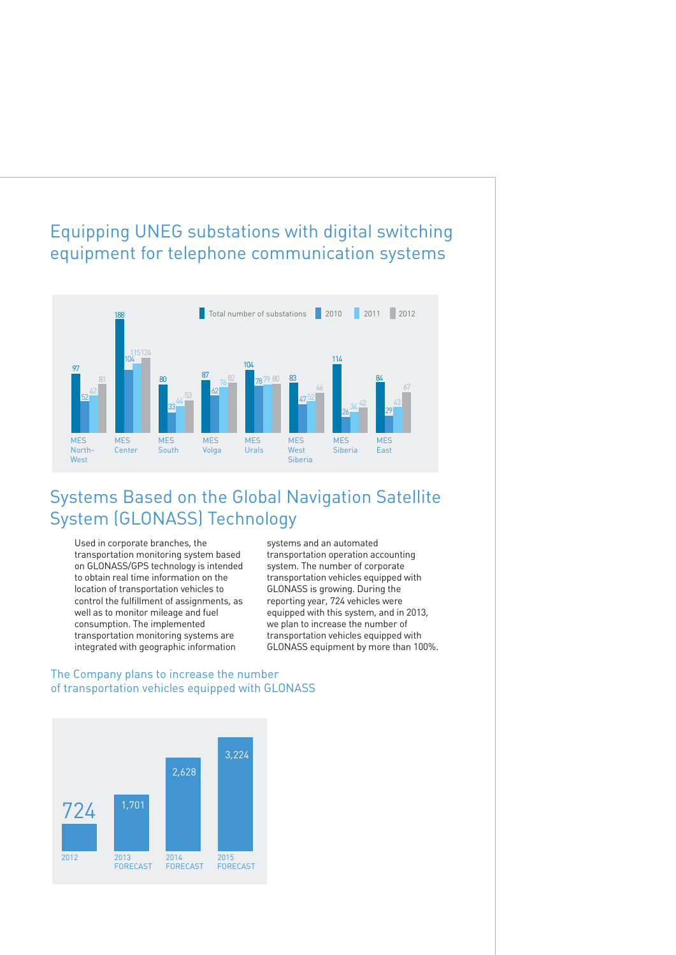# Equipping UNEG substations with digital switching equipment for telephone communication systems



# Systems Based on the Global Navigation Satellite System (GLONASS) Technology

Used in corporate branches, the transportation monitoring system based on GLONASS/GPS technology is intended to obtain real time information on the location of transportation vehicles to control the fulfillment of assignments, as well as to monitor mileage and fuel consumption. The implemented transportation monitoring systems are integrated with geographic information

systems and an automated transportation operation accounting system. The number of corporate transportation vehicles equipped with GLONASS is growing. During the reporting year, 724 vehicles were equipped with this system, and in 2013, we plan to increase the number of transportation vehicles equipped with GLONASS equipment by more than 100%.

### The Company plans to increase the number of transportation vehicles equipped with GLONASS

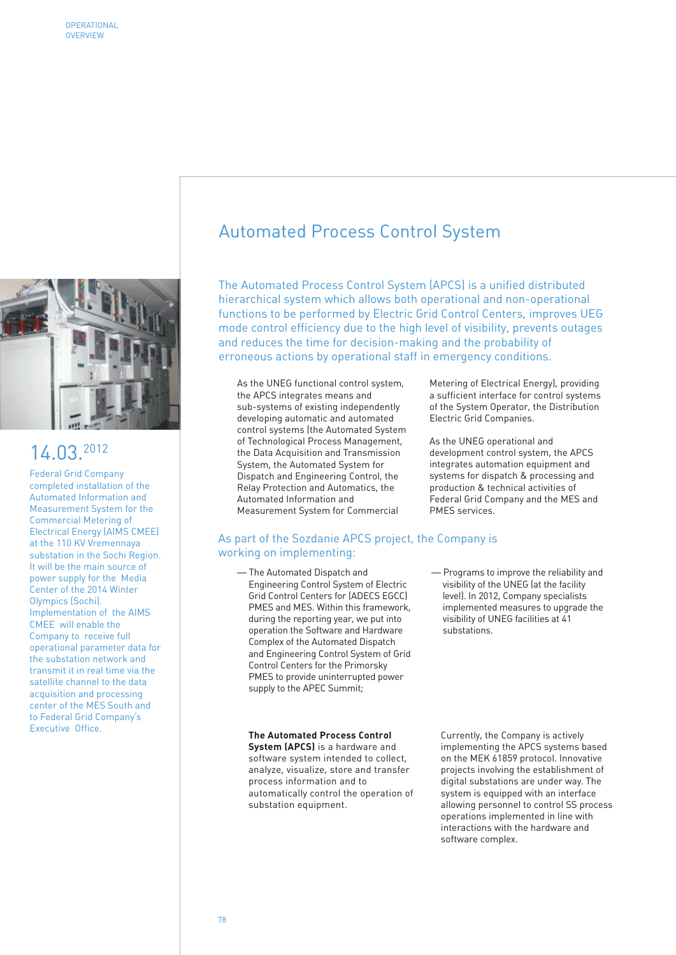

# 14.03.2012

Federal Grid Company completed installation of the Automated Information and Measurement System for the Commercial Metering of Electrical Energy (AIMS CMEE) at the 110 KV Vremennaya substation in the Sochi Region. It will be the main source of power supply for the Media Center of the 2014 Winter Olympics (Sochi). Implementation of the AIMS CMEE will enable the Company to receive full operational parameter data for the substation network and transmit it in real time via the satellite channel to the data acquisition and processing center of the MES South and to Federal Grid Company's Executive Office.

# Automated Process Control System

The Automated Process Control System (APCS) is a unified distributed hierarchical system which allows both operational and non-operational functions to be performed by Electric Grid Control Centers, improves UEG mode control efficiency due to the high level of visibility, prevents outages and reduces the time for decision-making and the probability of erroneous actions by operational staff in emergency conditions.

As the UNEG functional control system, the APCS integrates means and sub-systems of existing independently developing automatic and automated control systems (the Automated System of Technological Process Management, the Data Acquisition and Transmission System, the Automated System for Dispatch and Engineering Control, the Relay Protection and Automatics, the Automated Information and Measurement System for Commercial

Metering of Electrical Energy), providing a sufficient interface for control systems of the System Operator, the Distribution Electric Grid Companies.

As the UNEG operational and development control system, the APCS integrates automation equipment and systems for dispatch & processing and production & technical activities of Federal Grid Company and the MES and PMES services.

#### As part of the Sozdanie APCS project, the Company is working on implementing:

— The Automated Dispatch and Engineering Control System of Electric Grid Control Centers for (ADECS EGCC) PMES and MES. Within this framework, during the reporting year, we put into operation the Software and Hardware Complex of the Automated Dispatch and Engineering Control System of Grid Control Centers for the Primorsky PMES to provide uninterrupted power supply to the APEC Summit;

#### **The Automated Process Control**

**System (APCS)** is a hardware and software system intended to collect, analyze, visualize, store and transfer process information and to automatically control the operation of substation equipment.

— Programs to improve the reliability and visibility of the UNEG (at the facility level). In 2012, Company specialists implemented measures to upgrade the visibility of UNEG facilities at 41 substations.

Currently, the Company is actively implementing the APCS systems based on the MEK 61859 protocol. Innovative projects involving the establishment of digital substations are under way. The system is equipped with an interface allowing personnel to control SS process operations implemented in line with interactions with the hardware and software complex.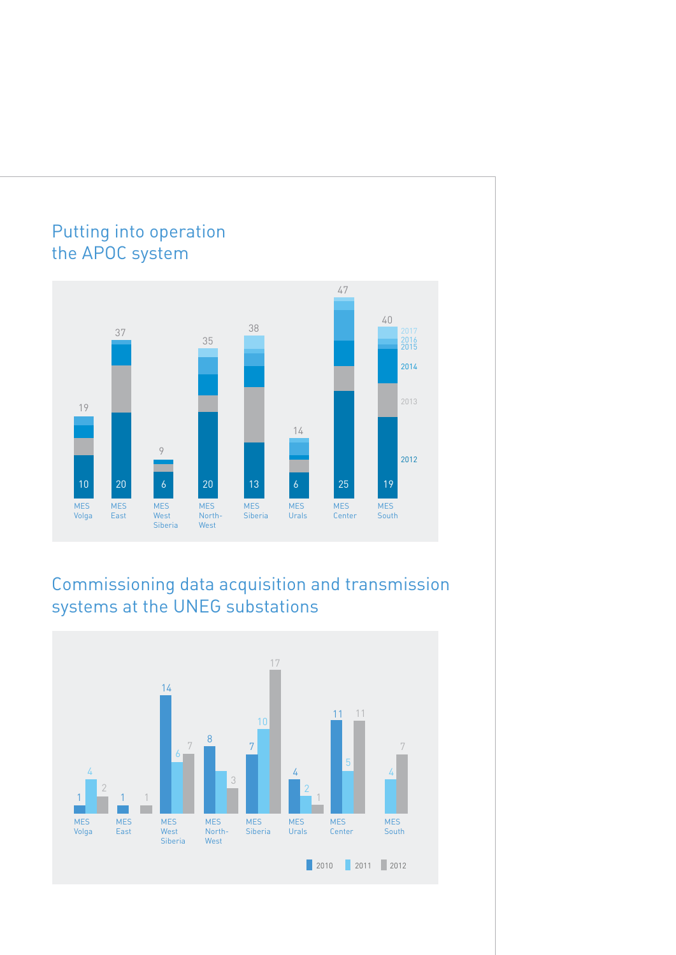

# Commissioning data acquisition and transmission systems at the UNEG substations

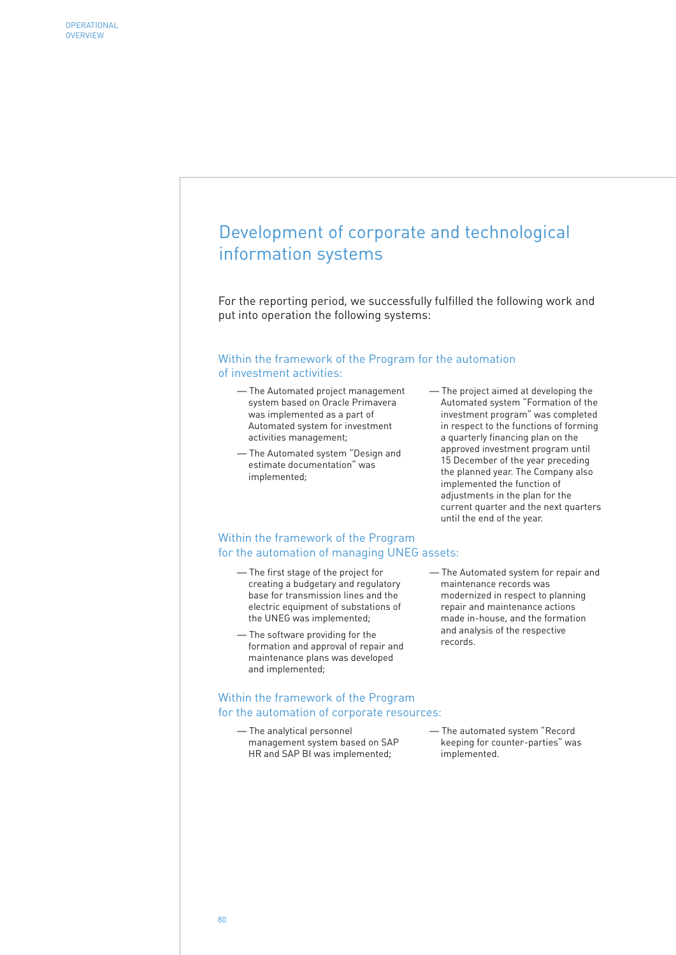